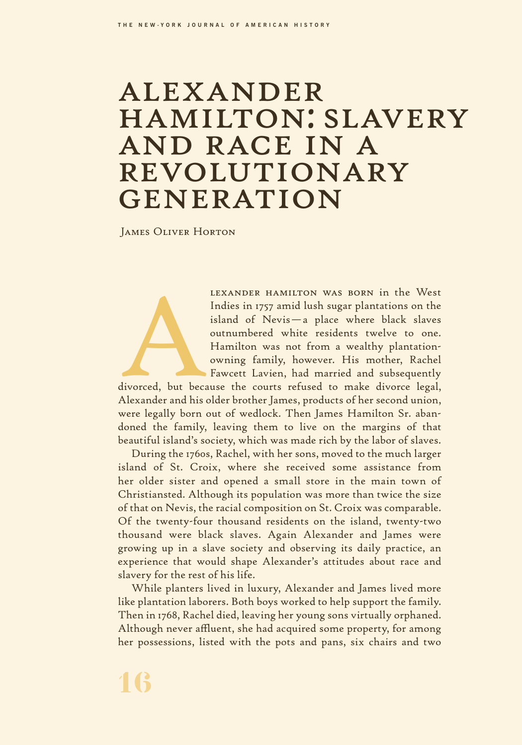## alexander hamilton: slavery and race in a revolutionary **GENERATION**

James Oliver Horton

LEXANDER HAMILTON WAS BORN in the West<br>Indies in 1757 amid lush sugar plantations on the<br>island of Nevis — a place where black slaves<br>outnumbered white residents twelve to one.<br>Hamilton was not from a wealthy plantation-<br>o Indies in 1757 amid lush sugar plantations on the island of Nevis—a place where black slaves outnumbered white residents twelve to one. Hamilton was not from a wealthy plantationowning family, however. His mother, Rachel Fawcett Lavien, had married and subsequently

divorced, but because the courts refused to make divorce legal, Alexander and his older brother James, products of her second union, were legally born out of wedlock. Then James Hamilton Sr. abandoned the family, leaving them to live on the margins of that beautiful island's society, which was made rich by the labor of slaves.

During the 1760s, Rachel, with her sons, moved to the much larger island of St. Croix, where she received some assistance from her older sister and opened a small store in the main town of Christiansted. Although its population was more than twice the size of that on Nevis, the racial composition on St. Croix was comparable. Of the twenty-four thousand residents on the island, twenty-two thousand were black slaves. Again Alexander and James were growing up in a slave society and observing its daily practice, an experience that would shape Alexander's attitudes about race and slavery for the rest of his life.

While planters lived in luxury, Alexander and James lived more like plantation laborers. Both boys worked to help support the family. Then in 1768, Rachel died, leaving her young sons virtually orphaned. Although never affluent, she had acquired some property, for among her possessions, listed with the pots and pans, six chairs and two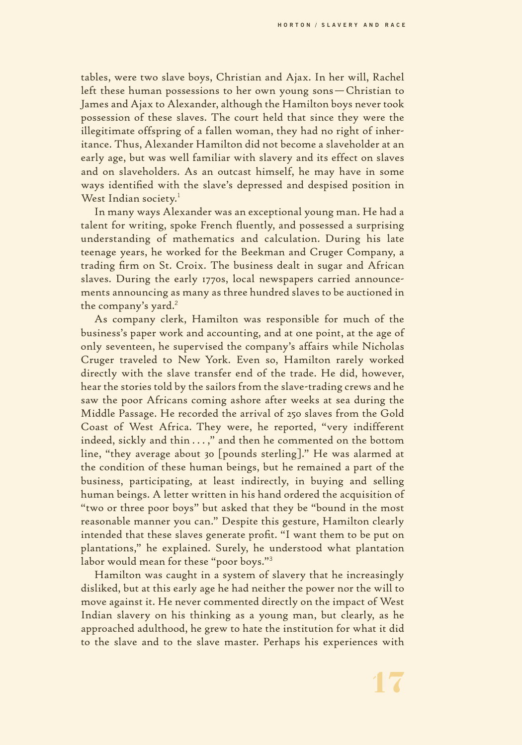tables, were two slave boys, Christian and Ajax. In her will, Rachel left these human possessions to her own young sons—Christian to James and Ajax to Alexander, although the Hamilton boys never took possession of these slaves. The court held that since they were the illegitimate offspring of a fallen woman, they had no right of inheritance. Thus, Alexander Hamilton did not become a slaveholder at an early age, but was well familiar with slavery and its effect on slaves and on slaveholders. As an outcast himself, he may have in some ways identified with the slave's depressed and despised position in West Indian society. $^1$ 

In many ways Alexander was an exceptional young man. He had a talent for writing, spoke French fluently, and possessed a surprising understanding of mathematics and calculation. During his late teenage years, he worked for the Beekman and Cruger Company, a trading firm on St. Croix. The business dealt in sugar and African slaves. During the early 1770s, local newspapers carried announcements announcing as many as three hundred slaves to be auctioned in the company's yard.<sup>2</sup>

As company clerk, Hamilton was responsible for much of the business's paper work and accounting, and at one point, at the age of only seventeen, he supervised the company's affairs while Nicholas Cruger traveled to New York. Even so, Hamilton rarely worked directly with the slave transfer end of the trade. He did, however, hear the stories told by the sailors from the slave-trading crews and he saw the poor Africans coming ashore after weeks at sea during the Middle Passage. He recorded the arrival of 250 slaves from the Gold Coast of West Africa. They were, he reported, "very indifferent indeed, sickly and thin . . . ," and then he commented on the bottom line, "they average about 30 [pounds sterling]." He was alarmed at the condition of these human beings, but he remained a part of the business, participating, at least indirectly, in buying and selling human beings. A letter written in his hand ordered the acquisition of "two or three poor boys" but asked that they be "bound in the most reasonable manner you can." Despite this gesture, Hamilton clearly intended that these slaves generate profit. "I want them to be put on plantations," he explained. Surely, he understood what plantation labor would mean for these "poor boys."<sup>3</sup>

Hamilton was caught in a system of slavery that he increasingly disliked, but at this early age he had neither the power nor the will to move against it. He never commented directly on the impact of West Indian slavery on his thinking as a young man, but clearly, as he approached adulthood, he grew to hate the institution for what it did to the slave and to the slave master. Perhaps his experiences with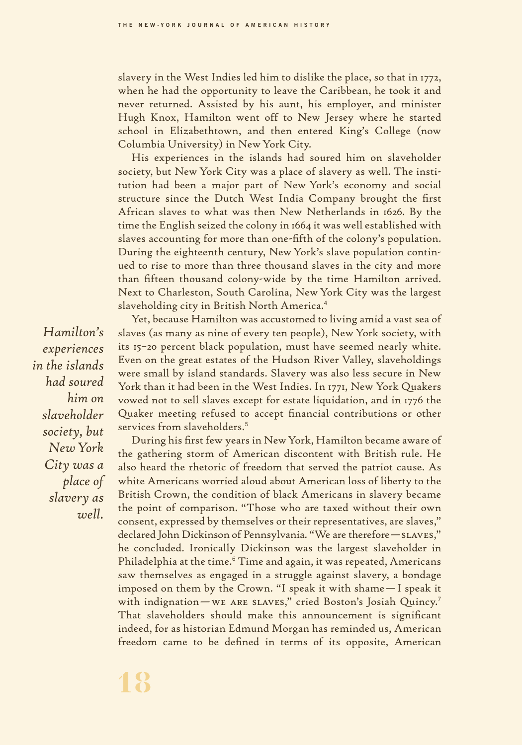slavery in the West Indies led him to dislike the place, so that in 1772, when he had the opportunity to leave the Caribbean, he took it and never returned. Assisted by his aunt, his employer, and minister Hugh Knox, Hamilton went off to New Jersey where he started school in Elizabethtown, and then entered King's College (now Columbia University) in NewYork City.

His experiences in the islands had soured him on slaveholder society, but New York City was a place of slavery as well. The institution had been a major part of New York's economy and social structure since the Dutch West India Company brought the first African slaves to what was then New Netherlands in 1626. By the time the English seized the colony in 1664 it was well established with slaves accounting for more than one-fifth of the colony's population. During the eighteenth century, New York's slave population continued to rise to more than three thousand slaves in the city and more than fifteen thousand colony-wide by the time Hamilton arrived. Next to Charleston, South Carolina, New York City was the largest slaveholding city in British North America.<sup>4</sup>

Yet, because Hamilton was accustomed to living amid a vast sea of slaves (as many as nine of every ten people), New York society, with its 15–20 percent black population, must have seemed nearly white. Even on the great estates of the Hudson River Valley, slaveholdings were small by island standards. Slavery was also less secure in New York than it had been in the West Indies. In 1771, New York Quakers vowed not to sell slaves except for estate liquidation, and in 1776 the Quaker meeting refused to accept financial contributions or other services from slaveholders.<sup>5</sup>

During his first few years in NewYork, Hamilton became aware of the gathering storm of American discontent with British rule. He also heard the rhetoric of freedom that served the patriot cause. As white Americans worried aloud about American loss of liberty to the British Crown, the condition of black Americans in slavery became the point of comparison. "Those who are taxed without their own consent, expressed by themselves or their representatives, are slaves," declared John Dickinson of Pennsylvania. "We are therefore—slaves," he concluded. Ironically Dickinson was the largest slaveholder in Philadelphia at the time.<sup>6</sup> Time and again, it was repeated, Americans saw themselves as engaged in a struggle against slavery, a bondage imposed on them by the Crown. "I speak it with shame—I speak it with indignation—WE ARE SLAVES," cried Boston's Josiah Quincy.<sup>7</sup> That slaveholders should make this announcement is significant indeed, for as historian Edmund Morgan has reminded us, American freedom came to be defined in terms of its opposite, American

*Hamilton's experiences in the islands had soured him on slaveholder society, but NewYork City was a place of slavery as well.*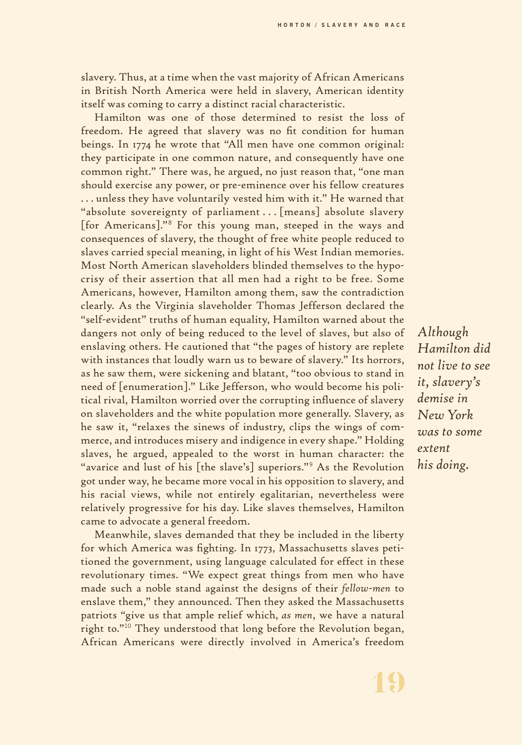slavery. Thus, at a time when the vast majority of African Americans in British North America were held in slavery, American identity itself was coming to carry a distinct racial characteristic.

Hamilton was one of those determined to resist the loss of freedom. He agreed that slavery was no fit condition for human beings. In 1774 he wrote that "All men have one common original: they participate in one common nature, and consequently have one common right." There was, he argued, no just reason that, "one man should exercise any power, or pre-eminence over his fellow creatures . . . unless they have voluntarily vested him with it." He warned that "absolute sovereignty of parliament . . . [means] absolute slavery [for Americans]."<sup>8</sup> For this young man, steeped in the ways and consequences of slavery, the thought of free white people reduced to slaves carried special meaning, in light of his West Indian memories. Most North American slaveholders blinded themselves to the hypocrisy of their assertion that all men had a right to be free. Some Americans, however, Hamilton among them, saw the contradiction clearly. As the Virginia slaveholder Thomas Jefferson declared the "self-evident" truths of human equality, Hamilton warned about the dangers not only of being reduced to the level of slaves, but also of enslaving others. He cautioned that "the pages of history are replete with instances that loudly warn us to beware of slavery." Its horrors, as he saw them, were sickening and blatant, "too obvious to stand in need of [enumeration]." Like Jefferson, who would become his political rival, Hamilton worried over the corrupting influence of slavery on slaveholders and the white population more generally. Slavery, as he saw it, "relaxes the sinews of industry, clips the wings of commerce, and introduces misery and indigence in every shape." Holding slaves, he argued, appealed to the worst in human character: the "avarice and lust of his [the slave's] superiors."<sup>9</sup> As the Revolution got under way, he became more vocal in his opposition to slavery, and his racial views, while not entirely egalitarian, nevertheless were relatively progressive for his day. Like slaves themselves, Hamilton came to advocate a general freedom.

Meanwhile, slaves demanded that they be included in the liberty for which America was fighting. In 1773, Massachusetts slaves petitioned the government, using language calculated for effect in these revolutionary times. "We expect great things from men who have made such a noble stand against the designs of their *fellow-men* to enslave them," they announced. Then they asked the Massachusetts patriots "give us that ample relief which, *as men*, we have a natural right to."<sup>10</sup> They understood that long before the Revolution began, African Americans were directly involved in America's freedom

*Although Hamilton did not live to see it, slavery's demise in New York was to some extent his doing.*

**19**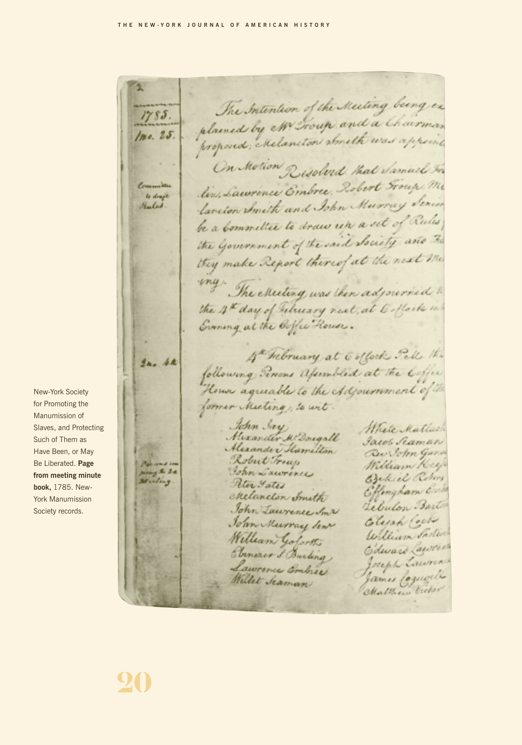The Intention of the Meeting being ex  $1785.$ plained by Mr Froug and a Chairman Inc. 25. proposed; Melancton about was appointed On Motion Resolved that Samuel In lin, Lawrence Embre, Robert Froup, Me Committee to draft lancion Smith and John Murray Serior Rules be a Committee to draw up a set of Rules the Government of the said Society and The they make Report thereof at the next me way. The executing was then adjourned to the 4th day of retreary next, at 6 offoch in Evening at the Orffee House. 4. hebruary at 6 offock Jell the  $2n.4k$ following Tenins afsimbled at the Coffee House agreeable to the Adjournment of the former Meeting; to wit. John Jay Materkatlach Mixander M Dougall Jacob Scaman Alexander Hamilton Rev John Gara Robert Freys William Key sung & La John Lawrence Bekiel Robert Muling Rter Fates Effingham Ente Melaneton Smith Lebulon Barto John Lawrence Son 2 Elijah Cock John Murray Sent William Saster William Gofortho Edward Lawren Senerer J. Burling Joseph Lawrence Lawrence Embre James Coquello Willet Seaman Matthew Victor

New-York Society for Promoting the Manumission of Slaves, and Protecting Such of Them as Have Been, or May Be Liberated. **Page from meeting minute book,** 1785. New-York Manumission Society records.

**20**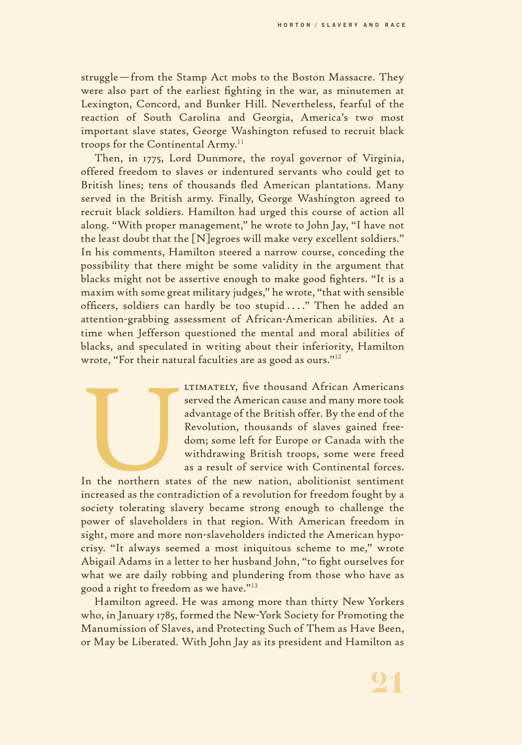**HORTON / SLAVERY AND RACE**

struggle—from the Stamp Act mobs to the Boston Massacre. They were also part of the earliest fighting in the war, as minutemen at Lexington, Concord, and Bunker Hill. Nevertheless, fearful of the reaction of South Carolina and Georgia, America's two most important slave states, George Washington refused to recruit black troops for the Continental Army.<sup>11</sup>

Then, in 1775, Lord Dunmore, the royal governor of Virginia, offered freedom to slaves or indentured servants who could get to British lines; tens of thousands fled American plantations. Many served in the British army. Finally, George Washington agreed to recruit black soldiers. Hamilton had urged this course of action all along. "With proper management," he wrote to John Jay, "I have not the least doubt that the [N]egroes will make very excellent soldiers." In his comments, Hamilton steered a narrow course, conceding the possibility that there might be some validity in the argument that blacks might not be assertive enough to make good fighters. "It is a maxim with some great military judges," he wrote, "that with sensible officers, soldiers can hardly be too stupid ...." Then he added an attention-grabbing assessment of African-American abilities. At a time when Jefferson questioned the mental and moral abilities of blacks, and speculated in writing about their inferiority, Hamilton wrote, "For their natural faculties are as good as ours."<sup>12</sup>

blacks, and speculated in writing about their interiority, 1 ramifton<br>wrote, "For their natural faculties are as good as ours."<sup>12</sup><br>LTIMATELY, five thousand African Americans<br>served the American cause and many more took<br>ad served the American cause and many more took advantage of the British offer. By the end of the Revolution, thousands of slaves gained freedom; some left for Europe or Canada with the withdrawing British troops, some were freed as a result of service with Continental forces.

In the northern states of the new nation, abolitionist sentiment increased as the contradiction of a revolution for freedom fought by a society tolerating slavery became strong enough to challenge the power of slaveholders in that region. With American freedom in sight, more and more non-slaveholders indicted the American hypocrisy. "It always seemed a most iniquitous scheme to me," wrote Abigail Adams in a letter to her husband John, "to fight ourselves for what we are daily robbing and plundering from those who have as good a right to freedom as we have."<sup>13</sup>

Hamilton agreed. He was among more than thirty New Yorkers who, in January 1785, formed the New-York Society for Promoting the Manumission of Slaves, and Protecting Such of Them as Have Been, or May be Liberated. With John Jay as its president and Hamilton as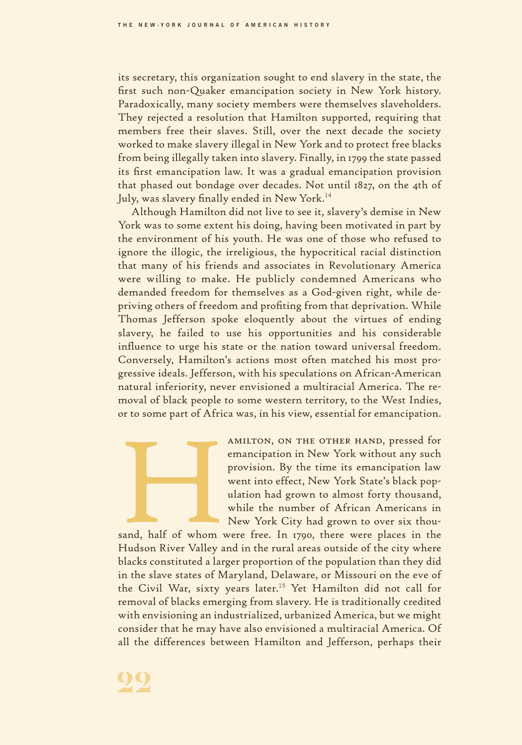its secretary, this organization sought to end slavery in the state, the first such non-Quaker emancipation society in New York history. Paradoxically, many society members were themselves slaveholders. They rejected a resolution that Hamilton supported, requiring that members free their slaves. Still, over the next decade the society worked to make slavery illegal in New York and to protect free blacks from being illegally taken into slavery. Finally, in 1799 the state passed its first emancipation law. It was a gradual emancipation provision that phased out bondage over decades. Not until 1827, on the 4th of July, was slavery finally ended in New York.<sup>14</sup>

Although Hamilton did not live to see it, slavery's demise in New York was to some extent his doing, having been motivated in part by the environment of his youth. He was one of those who refused to ignore the illogic, the irreligious, the hypocritical racial distinction that many of his friends and associates in Revolutionary America were willing to make. He publicly condemned Americans who demanded freedom for themselves as a God-given right, while depriving others of freedom and profiting from that deprivation. While Thomas Jefferson spoke eloquently about the virtues of ending slavery, he failed to use his opportunities and his considerable influence to urge his state or the nation toward universal freedom. Conversely, Hamilton's actions most often matched his most progressive ideals. Jefferson, with his speculations on African-American natural inferiority, never envisioned a multiracial America. The removal of black people to some western territory, to the West Indies, or to some part of Africa was, in his view, essential for emancipation.



MULTON, ON THE OTHER HAND, pressed for<br>
MULTON, ON THE OTHER HAND, pressed for<br>
MULTON, ON THE OTHER HAND, pressed for<br>
emancipation in New York without any such<br>
provision. By the time its emancipation law<br>
went into effe emancipation in New York without any such provision. By the time its emancipation law went into effect, New York State's black population had grown to almost forty thousand, while the number of African Americans in New York City had grown to over six thou-

sand, half of whom were free. In 1790, there were places in the Hudson River Valley and in the rural areas outside of the city where blacks constituted a larger proportion of the population than they did in the slave states of Maryland, Delaware, or Missouri on the eve of the Civil War, sixty years later.<sup>15</sup> Yet Hamilton did not call for removal of blacks emerging from slavery. He is traditionally credited with envisioning an industrialized, urbanized America, but we might consider that he may have also envisioned a multiracial America. Of all the differences between Hamilton and Jefferson, perhaps their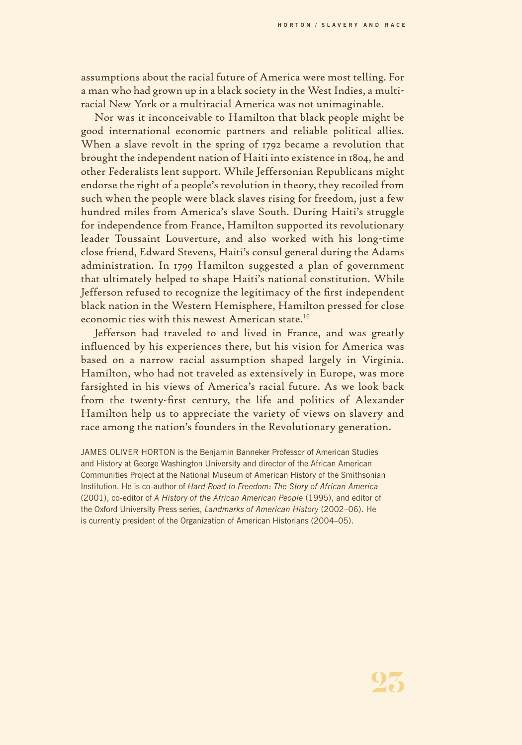assumptions about the racial future of America were most telling. For a man who had grown up in a black society in the West Indies, a multiracial New York or a multiracial America was not unimaginable.

Nor was it inconceivable to Hamilton that black people might be good international economic partners and reliable political allies. When a slave revolt in the spring of 1792 became a revolution that brought the independent nation of Haiti into existence in 1804, he and other Federalists lent support. While Jeffersonian Republicans might endorse the right of a people's revolution in theory, they recoiled from such when the people were black slaves rising for freedom, just a few hundred miles from America's slave South. During Haiti's struggle for independence from France, Hamilton supported its revolutionary leader Toussaint Louverture, and also worked with his long-time close friend, Edward Stevens, Haiti's consul general during the Adams administration. In 1799 Hamilton suggested a plan of government that ultimately helped to shape Haiti's national constitution. While Jefferson refused to recognize the legitimacy of the first independent black nation in the Western Hemisphere, Hamilton pressed for close economic ties with this newest American state.<sup>16</sup>

Jefferson had traveled to and lived in France, and was greatly influenced by his experiences there, but his vision for America was based on a narrow racial assumption shaped largely in Virginia. Hamilton, who had not traveled as extensively in Europe, was more farsighted in his views of America's racial future. As we look back from the twenty-first century, the life and politics of Alexander Hamilton help us to appreciate the variety of views on slavery and race among the nation's founders in the Revolutionary generation.

JAMES OLIVER HORTON is the Benjamin Banneker Professor of American Studies and History at George Washington University and director of the African American Communities Project at the National Museum of American History of the Smithsonian Institution. He is co-author of *Hard Road to Freedom: The Story of African America* (2001), co-editor of *A History of the African American People* (1995), and editor of the Oxford University Press series, *Landmarks of American History* (2002–06). He is currently president of the Organization of American Historians (2004–05).